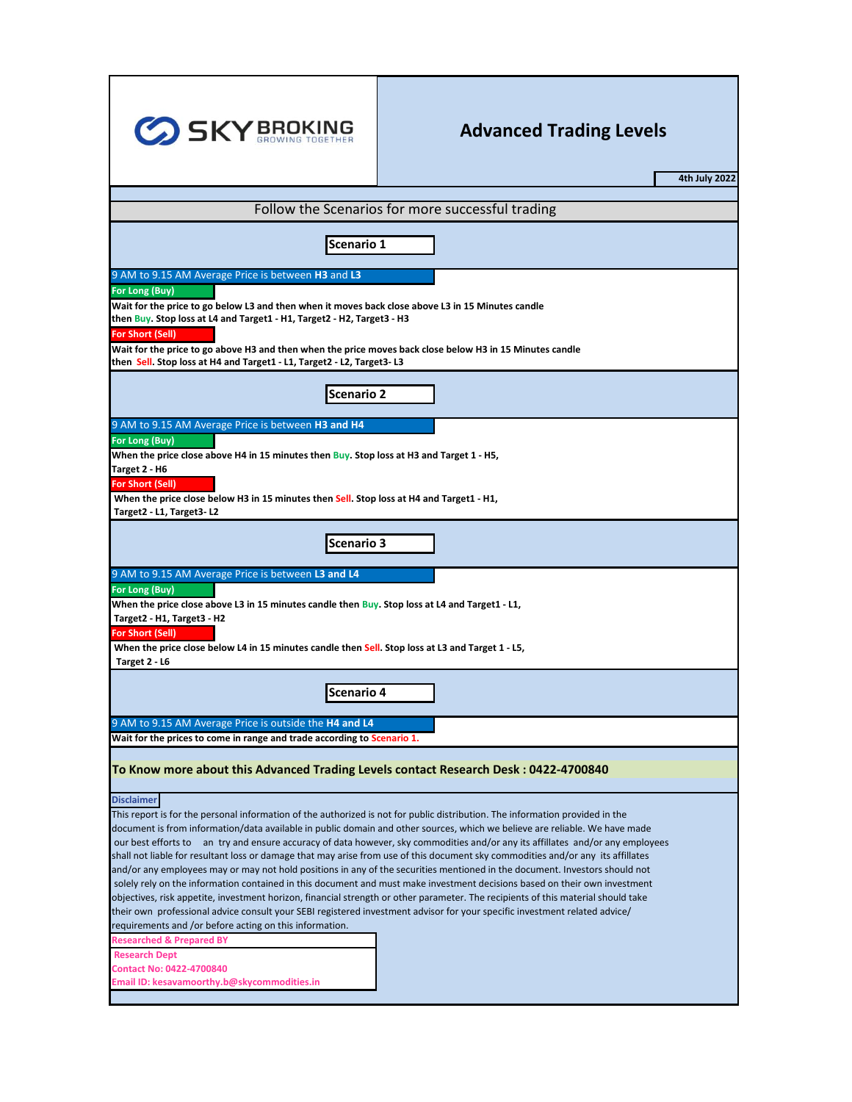| <b>SKY BROKING</b>                                                                                                                                                                                                                                                                                                                                                                                                                                                                           | <b>Advanced Trading Levels</b><br>4th July 2022                                                                                                                                                                                                                                                                                                                                                                                                                                                                                                                                                                                                                                                                                                                                                     |  |  |  |  |  |  |  |  |  |
|----------------------------------------------------------------------------------------------------------------------------------------------------------------------------------------------------------------------------------------------------------------------------------------------------------------------------------------------------------------------------------------------------------------------------------------------------------------------------------------------|-----------------------------------------------------------------------------------------------------------------------------------------------------------------------------------------------------------------------------------------------------------------------------------------------------------------------------------------------------------------------------------------------------------------------------------------------------------------------------------------------------------------------------------------------------------------------------------------------------------------------------------------------------------------------------------------------------------------------------------------------------------------------------------------------------|--|--|--|--|--|--|--|--|--|
|                                                                                                                                                                                                                                                                                                                                                                                                                                                                                              | Follow the Scenarios for more successful trading                                                                                                                                                                                                                                                                                                                                                                                                                                                                                                                                                                                                                                                                                                                                                    |  |  |  |  |  |  |  |  |  |
|                                                                                                                                                                                                                                                                                                                                                                                                                                                                                              |                                                                                                                                                                                                                                                                                                                                                                                                                                                                                                                                                                                                                                                                                                                                                                                                     |  |  |  |  |  |  |  |  |  |
| Scenario 1                                                                                                                                                                                                                                                                                                                                                                                                                                                                                   |                                                                                                                                                                                                                                                                                                                                                                                                                                                                                                                                                                                                                                                                                                                                                                                                     |  |  |  |  |  |  |  |  |  |
| 9 AM to 9.15 AM Average Price is between H3 and L3                                                                                                                                                                                                                                                                                                                                                                                                                                           |                                                                                                                                                                                                                                                                                                                                                                                                                                                                                                                                                                                                                                                                                                                                                                                                     |  |  |  |  |  |  |  |  |  |
| For Long (Buy)<br>Wait for the price to go below L3 and then when it moves back close above L3 in 15 Minutes candle<br>then Buy. Stop loss at L4 and Target1 - H1, Target2 - H2, Target3 - H3<br><b>For Short (Sell)</b><br>Wait for the price to go above H3 and then when the price moves back close below H3 in 15 Minutes candle<br>then Sell. Stop loss at H4 and Target1 - L1, Target2 - L2, Target3- L3                                                                               |                                                                                                                                                                                                                                                                                                                                                                                                                                                                                                                                                                                                                                                                                                                                                                                                     |  |  |  |  |  |  |  |  |  |
| <b>Scenario 2</b>                                                                                                                                                                                                                                                                                                                                                                                                                                                                            |                                                                                                                                                                                                                                                                                                                                                                                                                                                                                                                                                                                                                                                                                                                                                                                                     |  |  |  |  |  |  |  |  |  |
| 9 AM to 9.15 AM Average Price is between H3 and H4<br>For Long (Buy)<br>When the price close above H4 in 15 minutes then Buy. Stop loss at H3 and Target 1 - H5,<br>Target 2 - H6<br>For Short (Sell)<br>When the price close below H3 in 15 minutes then Sell. Stop loss at H4 and Target1 - H1,<br>Target2 - L1, Target3-L2                                                                                                                                                                |                                                                                                                                                                                                                                                                                                                                                                                                                                                                                                                                                                                                                                                                                                                                                                                                     |  |  |  |  |  |  |  |  |  |
| Scenario 3                                                                                                                                                                                                                                                                                                                                                                                                                                                                                   |                                                                                                                                                                                                                                                                                                                                                                                                                                                                                                                                                                                                                                                                                                                                                                                                     |  |  |  |  |  |  |  |  |  |
| 9 AM to 9.15 AM Average Price is between L3 and L4<br>For Long (Buy)<br>When the price close above L3 in 15 minutes candle then Buy. Stop loss at L4 and Target1 - L1,<br>Target2 - H1, Target3 - H2<br><b>For Short (Sell)</b><br>When the price close below L4 in 15 minutes candle then Sell. Stop loss at L3 and Target 1 - L5,<br>Target 2 - L6                                                                                                                                         |                                                                                                                                                                                                                                                                                                                                                                                                                                                                                                                                                                                                                                                                                                                                                                                                     |  |  |  |  |  |  |  |  |  |
| <b>Scenario 4</b>                                                                                                                                                                                                                                                                                                                                                                                                                                                                            |                                                                                                                                                                                                                                                                                                                                                                                                                                                                                                                                                                                                                                                                                                                                                                                                     |  |  |  |  |  |  |  |  |  |
| 9 AM to 9.15 AM Average Price is outside the H4 and L4<br>Wait for the prices to come in range and trade according to Scenario 1.                                                                                                                                                                                                                                                                                                                                                            |                                                                                                                                                                                                                                                                                                                                                                                                                                                                                                                                                                                                                                                                                                                                                                                                     |  |  |  |  |  |  |  |  |  |
| To Know more about this Advanced Trading Levels contact Research Desk: 0422-4700840                                                                                                                                                                                                                                                                                                                                                                                                          |                                                                                                                                                                                                                                                                                                                                                                                                                                                                                                                                                                                                                                                                                                                                                                                                     |  |  |  |  |  |  |  |  |  |
| <b>Disclaimer</b><br>This report is for the personal information of the authorized is not for public distribution. The information provided in the<br>their own professional advice consult your SEBI registered investment advisor for your specific investment related advice/<br>requirements and /or before acting on this information.<br><b>Researched &amp; Prepared BY</b><br><b>Research Dept</b><br><b>Contact No: 0422-4700840</b><br>Email ID: kesavamoorthy.b@skycommodities.in | document is from information/data available in public domain and other sources, which we believe are reliable. We have made<br>our best efforts to an try and ensure accuracy of data however, sky commodities and/or any its affillates and/or any employees<br>shall not liable for resultant loss or damage that may arise from use of this document sky commodities and/or any its affillates<br>and/or any employees may or may not hold positions in any of the securities mentioned in the document. Investors should not<br>solely rely on the information contained in this document and must make investment decisions based on their own investment<br>objectives, risk appetite, investment horizon, financial strength or other parameter. The recipients of this material should take |  |  |  |  |  |  |  |  |  |

г